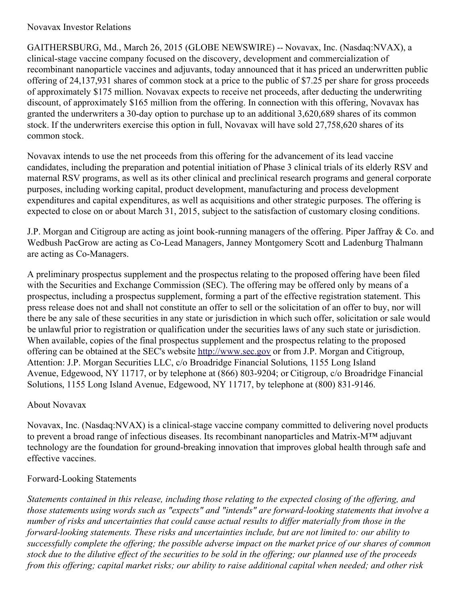## Novavax Investor Relations

GAITHERSBURG, Md., March 26, 2015 (GLOBE NEWSWIRE) -- Novavax, Inc. (Nasdaq:NVAX), a clinical-stage vaccine company focused on the discovery, development and commercialization of recombinant nanoparticle vaccines and adjuvants, today announced that it has priced an underwritten public offering of 24,137,931 shares of common stock at a price to the public of \$7.25 per share for gross proceeds of approximately \$175 million. Novavax expects to receive net proceeds, after deducting the underwriting discount, of approximately \$165 million from the offering. In connection with this offering, Novavax has granted the underwriters a 30-day option to purchase up to an additional 3,620,689 shares of its common stock. If the underwriters exercise this option in full, Novavax will have sold 27,758,620 shares of its common stock.

Novavax intends to use the net proceeds from this offering for the advancement of its lead vaccine candidates, including the preparation and potential initiation of Phase 3 clinical trials of its elderly RSV and maternal RSV programs, as well as its other clinical and preclinical research programs and general corporate purposes, including working capital, product development, manufacturing and process development expenditures and capital expenditures, as well as acquisitions and other strategic purposes. The offering is expected to close on or about March 31, 2015, subject to the satisfaction of customary closing conditions.

J.P. Morgan and Citigroup are acting as joint book-running managers of the offering. Piper Jaffray & Co. and Wedbush PacGrow are acting as Co-Lead Managers, Janney Montgomery Scott and Ladenburg Thalmann are acting as Co-Managers.

A preliminary prospectus supplement and the prospectus relating to the proposed offering have been filed with the Securities and Exchange Commission (SEC). The offering may be offered only by means of a prospectus, including a prospectus supplement, forming a part of the effective registration statement. This press release does not and shall not constitute an offer to sell or the solicitation of an offer to buy, nor will there be any sale of these securities in any state or jurisdiction in which such offer, solicitation or sale would be unlawful prior to registration or qualification under the securities laws of any such state or jurisdiction. When available, copies of the final prospectus supplement and the prospectus relating to the proposed offering can be obtained at the SEC's website [http://www.sec.gov](http://www.globenewswire.com/newsroom/ctr?d=10126462&l=4&u=http%3A%2F%2Fwww.sec.gov) or from J.P. Morgan and Citigroup, Attention: J.P. Morgan Securities LLC, c/o Broadridge Financial Solutions, 1155 Long Island Avenue, Edgewood, NY 11717, or by telephone at (866) 803-9204; or Citigroup, c/o Broadridge Financial Solutions, 1155 Long Island Avenue, Edgewood, NY 11717, by telephone at (800) 831-9146.

## About Novavax

Novavax, Inc. (Nasdaq:NVAX) is a clinical-stage vaccine company committed to delivering novel products to prevent a broad range of infectious diseases. Its recombinant nanoparticles and Matrix-M™ adjuvant technology are the foundation for ground-breaking innovation that improves global health through safe and effective vaccines.

## Forward-Looking Statements

Statements contained in this release, including those relating to the expected closing of the offering, and *those statements using words such as "expects" and "intends" are forward-looking statements that involve a* number of risks and uncertainties that could cause actual results to differ materially from those in the *forward-looking statements. These risks and uncertainties include, but are not limited to: our ability to* successfully complete the offering; the possible adverse impact on the market price of our shares of common stock due to the dilutive effect of the securities to be sold in the offering; our planned use of the proceeds from this offering; capital market risks; our ability to raise additional capital when needed; and other risk